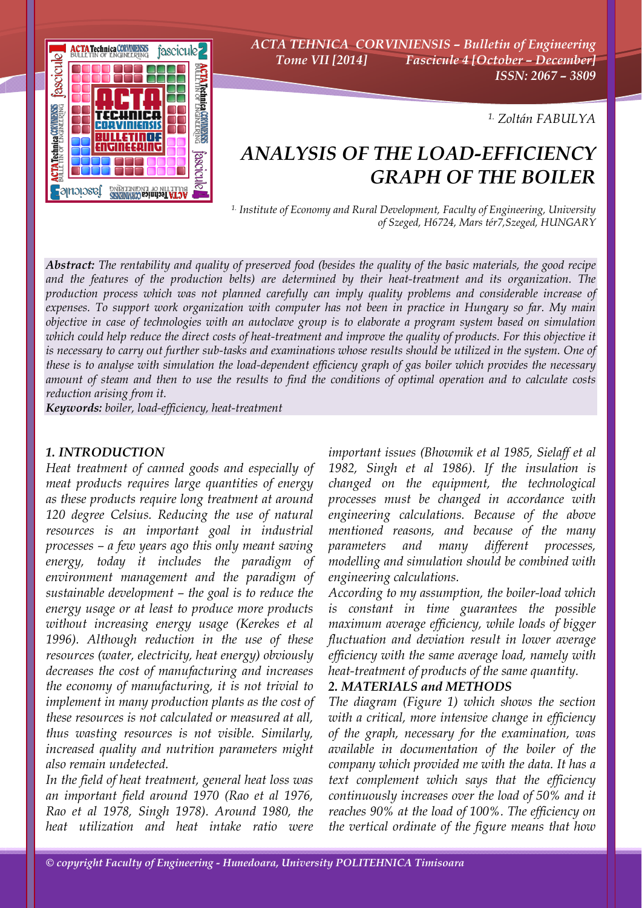

*ACTA TEHNICA CORVINIENSIS – Bulletin of Engineering Tome VII [2014] Fascicule 4 [October – December] ISSN: 2067 – 3809* 

*1. Zoltán FABULYA*

# *ANALYSIS OF THE LOAD-EFFICIENCY GRAPH OF THE BOILER*

*1. Institute of Economy and Rural Development, Faculty of Engineering, University of Szeged, H6724, Mars tér7,Szeged, HUNGARY*

*Abstract: The rentability and quality of preserved food (besides the quality of the basic materials, the good recipe and the features of the production belts) are determined by their heat-treatment and its organization. The production process which was not planned carefully can imply quality problems and considerable increase of expenses. To support work organization with computer has not been in practice in Hungary so far. My main objective in case of technologies with an autoclave group is to elaborate a program system based on simulation which could help reduce the direct costs of heat-treatment and improve the quality of products. For this objective it is necessary to carry out further sub-tasks and examinations whose results should be utilized in the system. One of these is to analyse with simulation the load-dependent efficiency graph of gas boiler which provides the necessary amount of steam and then to use the results to find the conditions of optimal operation and to calculate costs reduction arising from it.* 

*Keywords: boiler, load-efficiency, heat-treatment*

#### *1. INTRODUCTION*

*Heat treatment of canned goods and especially of meat products requires large quantities of energy as these products require long treatment at around 120 degree Celsius. Reducing the use of natural resources is an important goal in industrial processes – a few years ago this only meant saving energy, today it includes the paradigm of environment management and the paradigm of sustainable development – the goal is to reduce the energy usage or at least to produce more products without increasing energy usage (Kerekes et al 1996). Although reduction in the use of these resources (water, electricity, heat energy) obviously decreases the cost of manufacturing and increases the economy of manufacturing, it is not trivial to implement in many production plants as the cost of these resources is not calculated or measured at all, thus wasting resources is not visible. Similarly, increased quality and nutrition parameters might also remain undetected.* 

*In the field of heat treatment, general heat loss was an important field around 1970 (Rao et al 1976, Rao et al 1978, Singh 1978). Around 1980, the heat utilization and heat intake ratio were* 

*important issues (Bhowmik et al 1985, Sielaff et al 1982, Singh et al 1986). If the insulation is changed on the equipment, the technological processes must be changed in accordance with engineering calculations. Because of the above mentioned reasons, and because of the many parameters and many different processes, modelling and simulation should be combined with engineering calculations.* 

*According to my assumption, the boiler-load which is constant in time guarantees the possible maximum average efficiency, while loads of bigger fluctuation and deviation result in lower average efficiency with the same average load, namely with heat-treatment of products of the same quantity.* 

#### *2. MATERIALS and METHODS*

*The diagram (Figure 1) which shows the section with a critical, more intensive change in efficiency of the graph, necessary for the examination, was available in documentation of the boiler of the company which provided me with the data. It has a text complement which says that the efficiency continuously increases over the load of 50% and it reaches 90% at the load of 100%. The efficiency on the vertical ordinate of the figure means that how*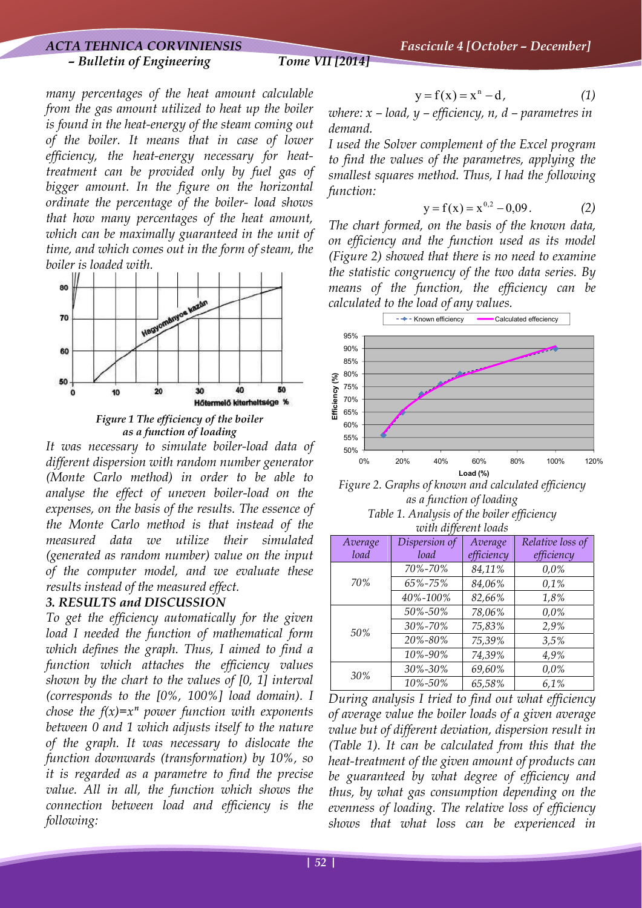*– Bulletin of Engineering Tome VII [2014]*

*many percentages of the heat amount calculable from the gas amount utilized to heat up the boiler is found in the heat-energy of the steam coming out of the boiler. It means that in case of lower efficiency, the heat-energy necessary for heattreatment can be provided only by fuel gas of bigger amount. In the figure on the horizontal ordinate the percentage of the boiler- load shows that how many percentages of the heat amount, which can be maximally guaranteed in the unit of time, and which comes out in the form of steam, the boiler is loaded with.* 



*Figure 1 The efficiency of the boiler as a function of loading* 

*It was necessary to simulate boiler-load data of different dispersion with random number generator (Monte Carlo method) in order to be able to analyse the effect of uneven boiler-load on the expenses, on the basis of the results. The essence of the Monte Carlo method is that instead of the measured data we utilize their simulated (generated as random number) value on the input of the computer model, and we evaluate these results instead of the measured effect.* 

### *3. RESULTS and DISCUSSION*

*To get the efficiency automatically for the given load I needed the function of mathematical form which defines the graph. Thus, I aimed to find a function which attaches the efficiency values shown by the chart to the values of [0, 1] interval (corresponds to the [0%, 100%] load domain). I chose the f(x)=* $x^n$  *power function with exponents between 0 and 1 which adjusts itself to the nature of the graph. It was necessary to dislocate the function downwards (transformation) by 10%, so it is regarded as a parametre to find the precise value. All in all, the function which shows the connection between load and efficiency is the following:* 

$$
y = f(x) = xn - d,
$$
 (1)

*where: x – load, y – efficiency, n, d – parametres in demand.* 

*I used the Solver complement of the Excel program to find the values of the parametres, applying the smallest squares method. Thus, I had the following function:* 

$$
y = f(x) = x^{0.2} - 0.09. \tag{2}
$$

*The chart formed, on the basis of the known data, on efficiency and the function used as its model (Figure 2) showed that there is no need to examine the statistic congruency of the two data series. By means of the function, the efficiency can be calculated to the load of any values.* 



*Figure 2. Graphs of known and calculated efficiency as a function of loading Table 1. Analysis of the boiler efficiency* 

*with different loads* 

| Average | Dispersion of | Average    | Relative loss of |
|---------|---------------|------------|------------------|
| load    | load          | efficiency | efficiency       |
| 70%     | 70%-70%       | 84,11%     | 0.0%             |
|         | 65%-75%       | 84,06%     | 0.1%             |
|         | 40%-100%      | 82,66%     | 1,8%             |
| 50%     | 50%-50%       | 78,06%     | 0.0%             |
|         | 30%-70%       | 75,83%     | 2,9%             |
|         | 20%-80%       | 75,39%     | 3,5%             |
|         | 10%-90%       | 74,39%     | 4,9%             |
| 30%     | 30%-30%       | 69,60%     | 0.0%             |
|         | 10%-50%       | 65,58%     | 6,1%             |

*During analysis I tried to find out what efficiency of average value the boiler loads of a given average value but of different deviation, dispersion result in (Table 1). It can be calculated from this that the heat-treatment of the given amount of products can be guaranteed by what degree of efficiency and thus, by what gas consumption depending on the evenness of loading. The relative loss of efficiency shows that what loss can be experienced in*